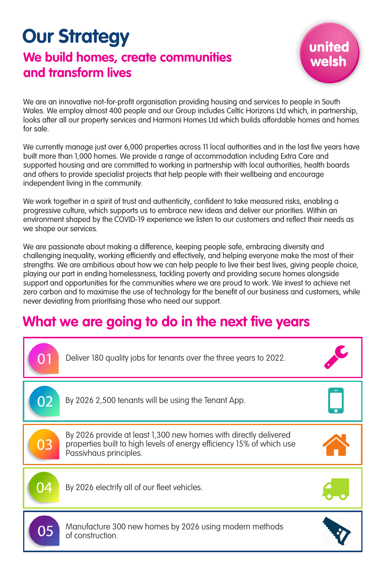## **Our Strategy We build homes, create communities and transform lives**

We are an innovative not-for-profit organisation providing housing and services to people in South Wales. We employ almost 400 people and our Group includes Celtic Horizons Ltd which, in partnership, looks after all our property services and Harmoni Homes Ltd which builds affordable homes and homes for sale.

We currently manage just over 6,000 properties across 11 local authorities and in the last five years have built more than 1,000 homes. We provide a range of accommodation including Extra Care and supported housing and are committed to working in partnership with local authorities, health boards and others to provide specialist projects that help people with their wellbeing and encourage independent living in the community.

We work together in a spirit of trust and authenticity, confident to take measured risks, enabling a progressive culture, which supports us to embrace new ideas and deliver our priorities. Within an environment shaped by the COVID-19 experience we listen to our customers and reflect their needs as we shape our services.

We are passionate about making a difference, keeping people safe, embracing diversity and challenging inequality, working efficiently and effectively, and helping everyone make the most of their strengths. We are ambitious about how we can help people to live their best lives, giving people choice, playing our part in ending homelessness, tackling poverty and providing secure homes alongside support and opportunities for the communities where we are proud to work. We invest to achieve net zero carbon and to maximise the use of technology for the benefit of our business and customers, while never deviating from prioritising those who need our support.

## **What we are going to do in the next five years**